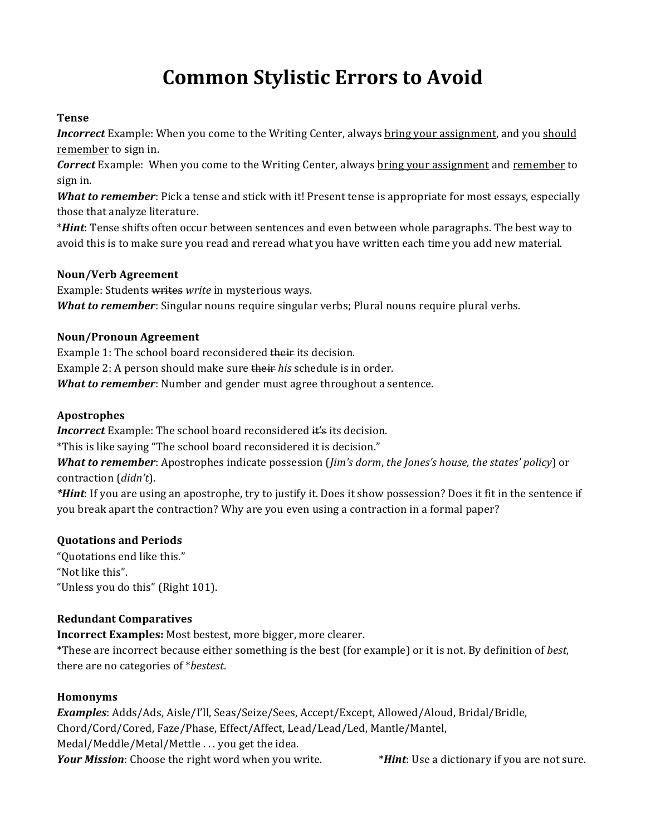# **Common Stylistic Errors to Avoid**

# **Tense**

*Incorrect* Example: When you come to the Writing Center, always bring your assignment, and you should remember to sign in.

**Correct** Example: When you come to the Writing Center, always bring your assignment and remember to sign in.

*What to remember*: Pick a tense and stick with it! Present tense is appropriate for most essays, especially those that analyze literature.

\**Hint*: Tense shifts often occur between sentences and even between whole paragraphs. The best way to avoid this is to make sure you read and reread what you have written each time you add new material.

#### **Noun/Verb%Agreement**

Example: Students writes write in mysterious ways. *What to remember*: Singular nouns require singular verbs; Plural nouns require plural verbs.

#### **Noun/Pronoun%Agreement**

Example 1: The school board reconsidered their its decision. Example 2: A person should make sure their *his* schedule is in order. *What to remember:* Number and gender must agree throughout a sentence.

# **Apostrophes**

*Incorrect* Example: The school board reconsidered it's its decision.

\*This is like saying "The school board reconsidered it is decision."

*What to remember*: Apostrophes indicate possession (*Jim's dorm, the Jones's house, the states' policy*) or contraction (*didn't*).

*\*Hint*: If you are using an apostrophe, try to justify it. Does it show possession? Does it fit in the sentence if you break apart the contraction? Why are you even using a contraction in a formal paper?

#### **Quotations%and%Periods**

"Quotations end like this." "Not like this". "Unless you do this" (Right 101).

# **Redundant%Comparatives**

**Incorrect Examples:** Most bestest, more bigger, more clearer.

\*These are incorrect because either something is the best (for example) or it is not. By definition of *best*, there are no categories of \**bestest*.

# **Homonyms**

*Examples*: Adds/Ads, Aisle/I'll, Seas/Seize/Sees, Accept/Except, Allowed/Aloud, Bridal/Bridle, Chord/Cord/Cored, Faze/Phase, Effect/Affect, Lead/Lead/Led, Mantle/Mantel, Medal/Meddle/Metal/Mettle ... you get the idea. *Your Mission*: Choose the right word when you write.  $*Hint:$  Use a dictionary if you are not sure.